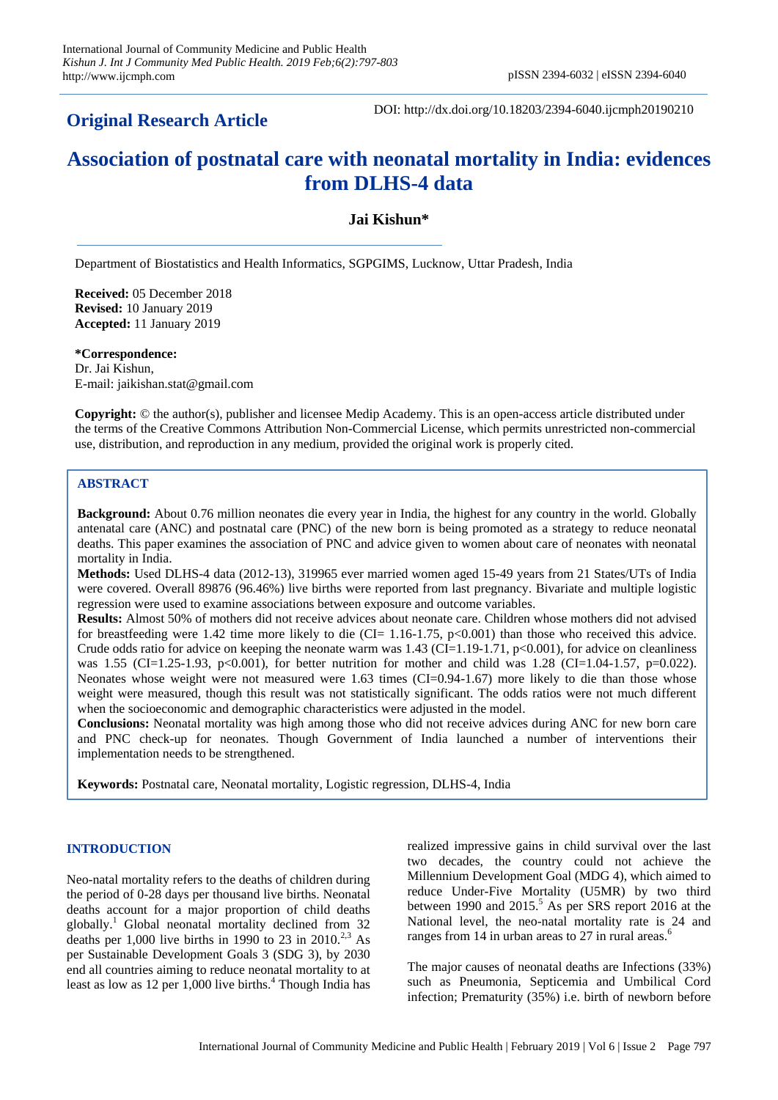## **Original Research Article**

DOI: http://dx.doi.org/10.18203/2394-6040.ijcmph20190210

# **Association of postnatal care with neonatal mortality in India: evidences from DLHS-4 data**

## **Jai Kishun\***

Department of Biostatistics and Health Informatics, SGPGIMS, Lucknow, Uttar Pradesh, India

**Received:** 05 December 2018 **Revised:** 10 January 2019 **Accepted:** 11 January 2019

**\*Correspondence:** Dr. Jai Kishun, E-mail: jaikishan.stat@gmail.com

**Copyright:** © the author(s), publisher and licensee Medip Academy. This is an open-access article distributed under the terms of the Creative Commons Attribution Non-Commercial License, which permits unrestricted non-commercial use, distribution, and reproduction in any medium, provided the original work is properly cited.

## **ABSTRACT**

**Background:** About 0.76 million neonates die every year in India, the highest for any country in the world. Globally antenatal care (ANC) and postnatal care (PNC) of the new born is being promoted as a strategy to reduce neonatal deaths. This paper examines the association of PNC and advice given to women about care of neonates with neonatal mortality in India.

**Methods:** Used DLHS-4 data (2012-13), 319965 ever married women aged 15-49 years from 21 States/UTs of India were covered. Overall 89876 (96.46%) live births were reported from last pregnancy. Bivariate and multiple logistic regression were used to examine associations between exposure and outcome variables.

**Results:** Almost 50% of mothers did not receive advices about neonate care. Children whose mothers did not advised for breastfeeding were 1.42 time more likely to die (CI=  $1.16$ - $1.75$ , p<0.001) than those who received this advice. Crude odds ratio for advice on keeping the neonate warm was  $1.43$  (CI=1.19-1.71, p<0.001), for advice on cleanliness was 1.55 (CI=1.25-1.93, p<0.001), for better nutrition for mother and child was 1.28 (CI=1.04-1.57, p=0.022). Neonates whose weight were not measured were 1.63 times (CI=0.94-1.67) more likely to die than those whose weight were measured, though this result was not statistically significant. The odds ratios were not much different when the socioeconomic and demographic characteristics were adjusted in the model.

**Conclusions:** Neonatal mortality was high among those who did not receive advices during ANC for new born care and PNC check-up for neonates. Though Government of India launched a number of interventions their implementation needs to be strengthened.

**Keywords:** Postnatal care, Neonatal mortality, Logistic regression, DLHS-4, India

## **INTRODUCTION**

Neo-natal mortality refers to the deaths of children during the period of 0-28 days per thousand live births. Neonatal deaths account for a major proportion of child deaths globally.<sup>1</sup> Global neonatal mortality declined from 32 deaths per 1,000 live births in 1990 to 23 in 2010.<sup>2,3</sup> As per Sustainable Development Goals 3 (SDG 3), by 2030 end all countries aiming to reduce neonatal mortality to at least as low as 12 per 1,000 live births.<sup>4</sup> Though India has realized impressive gains in child survival over the last two decades, the country could not achieve the Millennium Development Goal (MDG 4), which aimed to reduce Under-Five Mortality (U5MR) by two third between 1990 and  $2015<sup>5</sup>$  As per SRS report 2016 at the National level, the neo-natal mortality rate is 24 and ranges from 14 in urban areas to 27 in rural areas.<sup>6</sup>

The major causes of neonatal deaths are Infections (33%) such as Pneumonia, Septicemia and Umbilical Cord infection; Prematurity (35%) i.e. birth of newborn before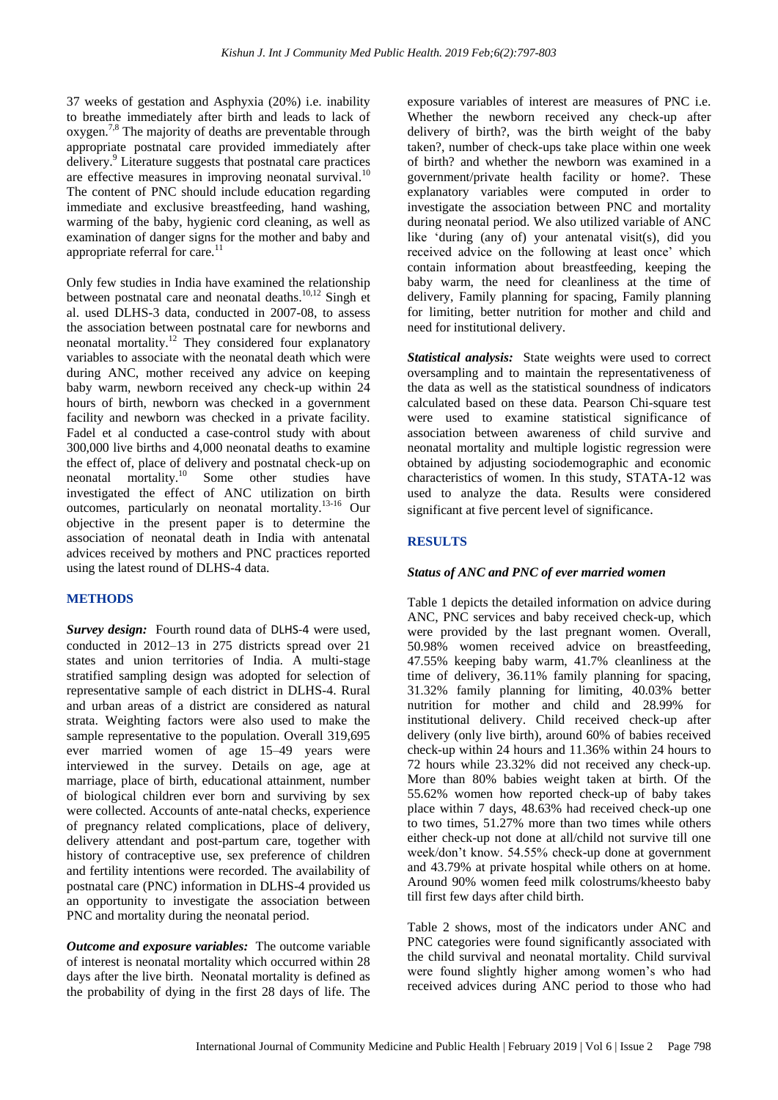37 weeks of gestation and Asphyxia (20%) i.e. inability to breathe immediately after birth and leads to lack of oxygen.7,8 The majority of deaths are preventable through appropriate postnatal care provided immediately after delivery.<sup>9</sup> Literature suggests that postnatal care practices are effective measures in improving neonatal survival.<sup>1</sup> The content of PNC should include education regarding immediate and exclusive breastfeeding, hand washing, warming of the baby, hygienic cord cleaning, as well as examination of danger signs for the mother and baby and appropriate referral for care.<sup>11</sup>

Only few studies in India have examined the relationship between postnatal care and neonatal deaths.<sup>10,12</sup> Singh et al. used DLHS-3 data, conducted in 2007-08, to assess the association between postnatal care for newborns and neonatal mortality.<sup>12</sup> They considered four explanatory variables to associate with the neonatal death which were during ANC, mother received any advice on keeping baby warm, newborn received any check-up within 24 hours of birth, newborn was checked in a government facility and newborn was checked in a private facility. Fadel et al conducted a case-control study with about 300,000 live births and 4,000 neonatal deaths to examine the effect of, place of delivery and postnatal check-up on neonatal mortality.<sup>10</sup> Some other studies have investigated the effect of ANC utilization on birth outcomes, particularly on neonatal mortality.13-16 Our objective in the present paper is to determine the association of neonatal death in India with antenatal advices received by mothers and PNC practices reported using the latest round of DLHS-4 data.

## **METHODS**

*Survey design:* Fourth round data of DLHS-4 were used, conducted in 2012–13 in 275 districts spread over 21 states and union territories of India. A multi-stage stratified sampling design was adopted for selection of representative sample of each district in DLHS-4. Rural and urban areas of a district are considered as natural strata. Weighting factors were also used to make the sample representative to the population. Overall 319,695 ever married women of age 15–49 years were interviewed in the survey. Details on age, age at marriage, place of birth, educational attainment, number of biological children ever born and surviving by sex were collected. Accounts of ante-natal checks, experience of pregnancy related complications, place of delivery, delivery attendant and post-partum care, together with history of contraceptive use, sex preference of children and fertility intentions were recorded. The availability of postnatal care (PNC) information in DLHS-4 provided us an opportunity to investigate the association between PNC and mortality during the neonatal period.

*Outcome and exposure variables:* The outcome variable of interest is neonatal mortality which occurred within 28 days after the live birth. Neonatal mortality is defined as the probability of dying in the first 28 days of life. The exposure variables of interest are measures of PNC i.e. Whether the newborn received any check-up after delivery of birth?, was the birth weight of the baby taken?, number of check-ups take place within one week of birth? and whether the newborn was examined in a government/private health facility or home?. These explanatory variables were computed in order to investigate the association between PNC and mortality during neonatal period. We also utilized variable of ANC like 'during (any of) your antenatal visit(s), did you received advice on the following at least once' which contain information about breastfeeding, keeping the baby warm, the need for cleanliness at the time of delivery, Family planning for spacing, Family planning for limiting, better nutrition for mother and child and need for institutional delivery.

*Statistical analysis:* State weights were used to correct oversampling and to maintain the representativeness of the data as well as the statistical soundness of indicators calculated based on these data. Pearson Chi-square test were used to examine statistical significance of association between awareness of child survive and neonatal mortality and multiple logistic regression were obtained by adjusting sociodemographic and economic characteristics of women. In this study, STATA-12 was used to analyze the data. Results were considered significant at five percent level of significance.

## **RESULTS**

### *Status of ANC and PNC of ever married women*

Table 1 depicts the detailed information on advice during ANC, PNC services and baby received check-up, which were provided by the last pregnant women. Overall, 50.98% women received advice on breastfeeding, 47.55% keeping baby warm, 41.7% cleanliness at the time of delivery, 36.11% family planning for spacing, 31.32% family planning for limiting, 40.03% better nutrition for mother and child and 28.99% for institutional delivery. Child received check-up after delivery (only live birth), around 60% of babies received check-up within 24 hours and 11.36% within 24 hours to 72 hours while 23.32% did not received any check-up. More than 80% babies weight taken at birth. Of the 55.62% women how reported check-up of baby takes place within 7 days, 48.63% had received check-up one to two times, 51.27% more than two times while others either check-up not done at all/child not survive till one week/don't know. 54.55% check-up done at government and 43.79% at private hospital while others on at home. Around 90% women feed milk colostrums/kheesto baby till first few days after child birth.

Table 2 shows, most of the indicators under ANC and PNC categories were found significantly associated with the child survival and neonatal mortality. Child survival were found slightly higher among women's who had received advices during ANC period to those who had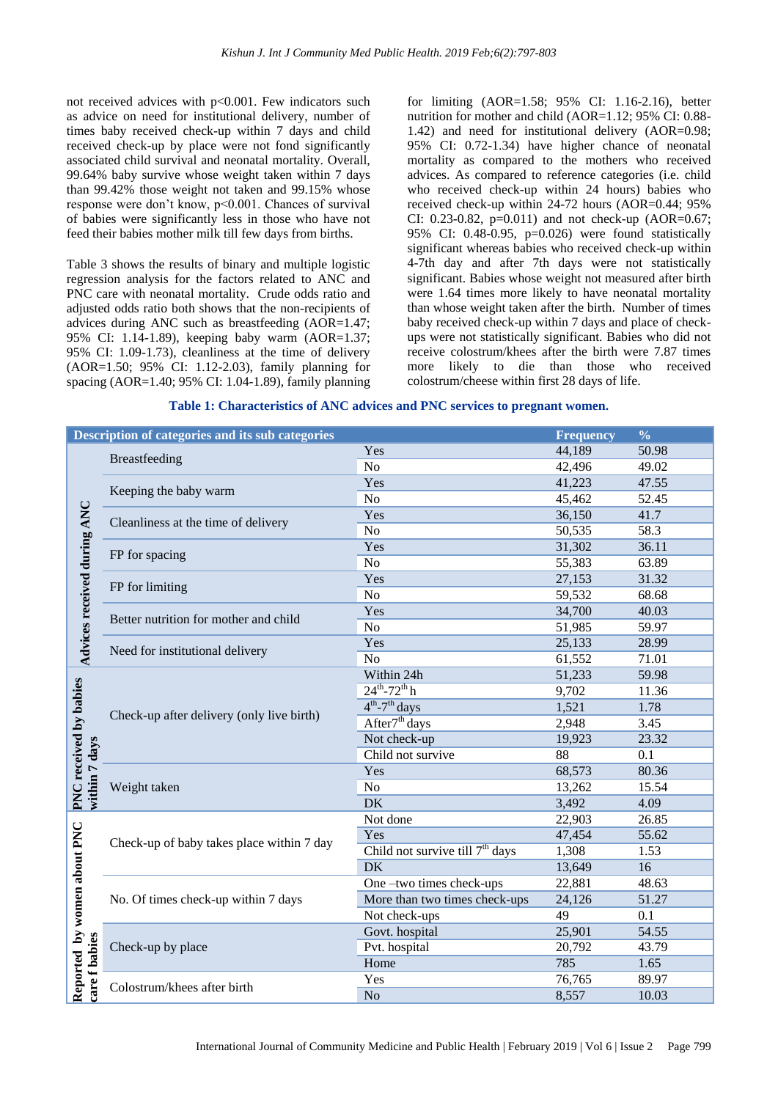not received advices with  $p<0.001$ . Few indicators such as advice on need for institutional delivery, number of times baby received check-up within 7 days and child received check-up by place were not fond significantly associated child survival and neonatal mortality. Overall, 99.64% baby survive whose weight taken within 7 days than 99.42% those weight not taken and 99.15% whose response were don't know, p<0.001. Chances of survival of babies were significantly less in those who have not feed their babies mother milk till few days from births.

Table 3 shows the results of binary and multiple logistic regression analysis for the factors related to ANC and PNC care with neonatal mortality. Crude odds ratio and adjusted odds ratio both shows that the non-recipients of advices during ANC such as breastfeeding (AOR=1.47; 95% CI: 1.14-1.89), keeping baby warm (AOR=1.37; 95% CI: 1.09-1.73), cleanliness at the time of delivery (AOR=1.50; 95% CI: 1.12-2.03), family planning for spacing (AOR=1.40; 95% CI: 1.04-1.89), family planning for limiting (AOR=1.58; 95% CI: 1.16-2.16), better nutrition for mother and child (AOR=1.12; 95% CI: 0.88- 1.42) and need for institutional delivery (AOR=0.98; 95% CI: 0.72-1.34) have higher chance of neonatal mortality as compared to the mothers who received advices. As compared to reference categories (i.e. child who received check-up within 24 hours) babies who received check-up within 24-72 hours (AOR=0.44; 95% CI: 0.23-0.82,  $p=0.011$ ) and not check-up (AOR=0.67; 95% CI: 0.48-0.95, p=0.026) were found statistically significant whereas babies who received check-up within 4-7th day and after 7th days were not statistically significant. Babies whose weight not measured after birth were 1.64 times more likely to have neonatal mortality than whose weight taken after the birth. Number of times baby received check-up within 7 days and place of checkups were not statistically significant. Babies who did not receive colostrum/khees after the birth were 7.87 times more likely to die than those who received colostrum/cheese within first 28 days of life.

|                                              | Description of categories and its sub categories |                                   | <b>Frequency</b> | $\frac{0}{0}$ |
|----------------------------------------------|--------------------------------------------------|-----------------------------------|------------------|---------------|
| Advices received during ANC                  |                                                  | Yes                               | 44,189           | 50.98         |
|                                              | <b>Breastfeeding</b>                             | No                                | 42,496           | 49.02         |
|                                              |                                                  | Yes                               | 41,223           | 47.55         |
|                                              | Keeping the baby warm                            | N <sub>o</sub>                    | 45,462           | 52.45         |
|                                              |                                                  | Yes                               | 36,150           | 41.7          |
|                                              | Cleanliness at the time of delivery              | N <sub>o</sub>                    | 50,535           | 58.3          |
|                                              | FP for spacing                                   | Yes                               | 31,302           | 36.11         |
|                                              |                                                  | N <sub>o</sub>                    | 55,383           | 63.89         |
|                                              | FP for limiting                                  | Yes                               | 27,153           | 31.32         |
|                                              |                                                  | N <sub>o</sub>                    | 59,532           | 68.68         |
|                                              | Better nutrition for mother and child            | Yes                               | 34,700           | 40.03         |
|                                              |                                                  | N <sub>o</sub>                    | 51,985           | 59.97         |
|                                              | Need for institutional delivery                  | Yes                               | 25,133           | 28.99         |
|                                              |                                                  | N <sub>o</sub>                    | 61,552           | 71.01         |
|                                              | Check-up after delivery (only live birth)        | Within 24h                        | 51,233           | 59.98         |
| PNC received by babies<br>within 7 days      |                                                  | $24^{th} - 72^{th}$ h             | 9,702            | 11.36         |
|                                              |                                                  | $4^{th}$ -7 <sup>th</sup> days    | 1,521            | 1.78          |
|                                              |                                                  | After <sup>7th</sup> days         | 2,948            | 3.45          |
|                                              |                                                  | Not check-up                      | 19,923           | 23.32         |
|                                              |                                                  | Child not survive                 | 88               | 0.1           |
|                                              | Weight taken                                     | Yes                               | 68,573           | 80.36         |
|                                              |                                                  | No                                | 13,262           | 15.54         |
|                                              |                                                  | <b>DK</b>                         | 3,492            | 4.09          |
| Reported by women about PNC<br>care f babies | Check-up of baby takes place within 7 day        | Not done                          | 22,903           | 26.85         |
|                                              |                                                  | Yes                               | 47,454           | 55.62         |
|                                              |                                                  | Child not survive till $7th$ days | 1,308            | 1.53          |
|                                              |                                                  | <b>DK</b>                         | 13,649           | 16            |
|                                              | No. Of times check-up within 7 days              | One-two times check-ups           | 22,881           | 48.63         |
|                                              |                                                  | More than two times check-ups     | 24,126           | 51.27         |
|                                              |                                                  | Not check-ups                     | 49               | 0.1           |
|                                              |                                                  | Govt. hospital                    | 25,901           | 54.55         |
|                                              | Check-up by place                                | Pvt. hospital                     | 20,792           | 43.79         |
|                                              |                                                  | Home                              | 785              | 1.65          |
|                                              | Colostrum/khees after birth                      | Yes                               | 76,765           | 89.97         |
|                                              |                                                  | No                                | 8,557            | 10.03         |

#### **Table 1: Characteristics of ANC advices and PNC services to pregnant women.**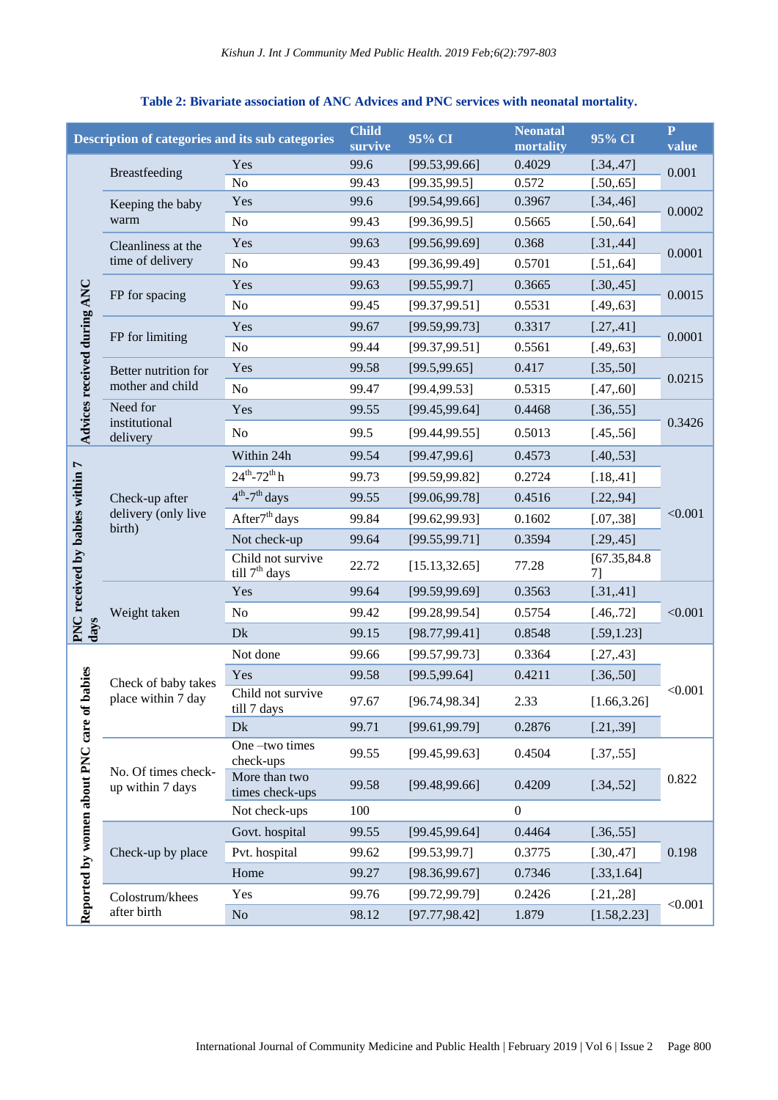#### **Description of categories and its sub categories Child c** CI **Reonatal 195% CI P**<br> **mortality 95% CI P**<br> **mortality 95% CI P value** Breastfeeding Yes 99.6 [99.53,99.66] 0.4029 [.34,.47] 0.001 No 99.43 [99.35,99.5] 0.572 [.50,.65] Yes 99.6 [99.54,99.66] 0.3967 [.34,.46] Keeping the baby 0.0002 warm No 99.43 [99.36,99.5] 0.5665 [.50,.64] Yes 99.63 [99.56,99.69] 0.368 [.31,.44] Cleanliness at the 0.0001 time of delivery No 99.43 [99.36,99.49] 0.5701 [.51,.64] Yes 99.63 [99.55,99.7] 0.3665 [.30,.45] **Advices received during ANC** Advices received during ANC 0.0015 FP for spacing No 99.45 [99.37,99.51] 0.5531 [.49,.63] Yes 99.67 [99.59,99.73] 0.3317 [.27,.41] FP for limiting 0.0001 No 99.44 [99.37,99.51] 0.5561 [.49,.63] Yes 99.58 [99.5,99.65] 0.417 [.35,.50] Better nutrition for 0.0215 mother and child No 99.47 [99.4,99.53] 0.5315 [.47,.60] Need for Yes 99.55 [99.45,99.64] 0.4468 [.36,.55] institutional 0.3426 No 99.5 [99.44,99.55] 0.5013 [.45..56] delivery Within 24h 99.54 [99.47,99.6] 0.4573 [.40..53] **PNC received by babies within 7**   $24^{th}$ -72<sup>th</sup> h **PNC** received by babies within<br>lays 99.73 [99.59.99.82] 0.2724 [.18..41]  $4^{\text{th}}$ -7 Check-up after 99.55 [99.06,99.78] 0.4516 [.22,,94] delivery (only live  $< 0.001$ After<sup>7th</sup> days 99.84 [99.62,99.93] 0.1602 [.07,.38] birth) Not check-up 99.64 [99.55,99.71] 0.3594 [.29,.45] Child not survive Child not survive 22.72 [15.13,32.65] 77.28 [67.35,84.8 [67.35] 7] Yes 99.64 [99.59,99.69] 0.3563 [.31,.41] Weight taken No  $99.42$   $[99.28,99.54]$   $0.5754$   $[.46,72]$   $<0.001$ Dk 99.15 [98.77,99.41] 0.8548 [.59,1.23] Not done 99.66 [99.57,99.73] 0.3364 [.27,.43] Reported by women about PNC care of babies **Reported by women about PNC care of babies** Yes 99.58 [99.5,99.64] 0.4211 [.36,.50] Check of baby takes  $< 0.001$ Child not survive place within 7 day till 7 days 97.67 [96.74,98.34] 2.33 [1.66,3.26] Dk 99.71 [99.61,99.79] 0.2876 [.21,.39] One –two times 99.55 [99.45,99.63] 0.4504 [.37,.55] check-ups No. Of times check-More than two <br>99.58 [99.48,99.66] 0.4209 [.34,.52] 0.822  $[99.48, 99.66]$ up within 7 days times check-ups Not check-ups 100 0 Govt. hospital 99.55 [99.45,99.64] 0.4464 [.36,.55] Check-up by place Pvt. hospital 99.62 [99.53,99.7] 0.3775 [.30,.47] 0.198 Home 99.27 [98.36,99.67] 0.7346 [.33,1.64] Yes 99.76 [99.72.99.79] 0.2426 [.21..28] Colostrum/khees  $< 0.001$ after birth No 98.12 [97.77,98.42] 1.879 [1.58,2.23]

## **Table 2: Bivariate association of ANC Advices and PNC services with neonatal mortality.**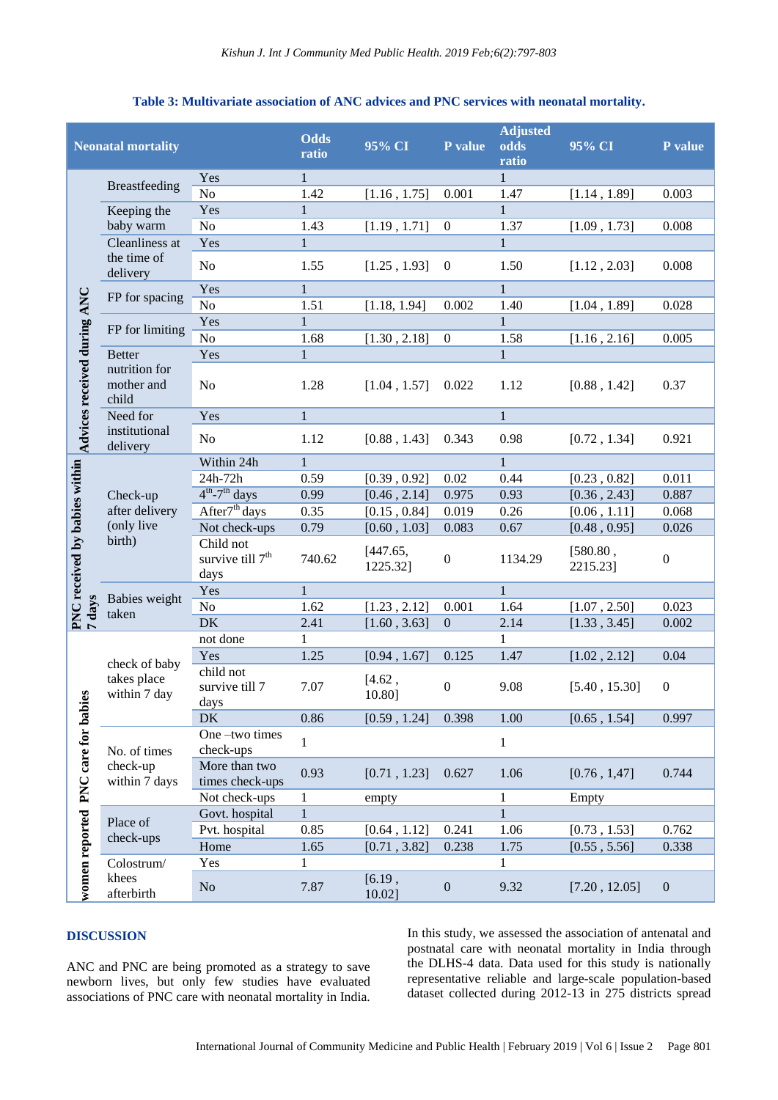## **Table 3: Multivariate association of ANC advices and PNC services with neonatal mortality.**

| <b>Neonatal mortality</b>               |                                                       | <b>Odds</b><br>ratio                              | 95% CI       | P value              | <b>Adjusted</b><br>odds<br>ratio | 95% CI       | P value              |                  |
|-----------------------------------------|-------------------------------------------------------|---------------------------------------------------|--------------|----------------------|----------------------------------|--------------|----------------------|------------------|
|                                         | Breastfeeding                                         | Yes                                               | 1            |                      |                                  | 1            |                      |                  |
|                                         |                                                       | N <sub>o</sub>                                    | 1.42         | [1.16, 1.75]         | 0.001                            | 1.47         | [1.14, 1.89]         | 0.003            |
|                                         | Keeping the                                           | Yes                                               | $\mathbf{1}$ |                      |                                  | $\mathbf{1}$ |                      |                  |
|                                         | baby warm                                             | N <sub>o</sub>                                    | 1.43         | [1.19, 1.71]         | $\boldsymbol{0}$                 | 1.37         | [1.09, 1.73]         | 0.008            |
|                                         | Cleanliness at                                        | Yes                                               | $\mathbf{1}$ |                      |                                  | $\mathbf{1}$ |                      |                  |
|                                         | the time of<br>delivery                               | N <sub>o</sub>                                    | 1.55         | [1.25, 1.93]         | $\theta$                         | 1.50         | [1.12, 2.03]         | 0.008            |
|                                         | FP for spacing                                        | Yes                                               | $\mathbf{1}$ |                      |                                  | $\mathbf{1}$ |                      |                  |
|                                         |                                                       | No                                                | 1.51         | [1.18, 1.94]         | 0.002                            | 1.40         | [1.04, 1.89]         | 0.028            |
|                                         | FP for limiting                                       | Yes                                               | $\mathbf{1}$ |                      |                                  | $\mathbf{1}$ |                      |                  |
|                                         |                                                       | No                                                | 1.68         | [1.30, 2.18]         | $\boldsymbol{0}$                 | 1.58         | [1.16, 2.16]         | 0.005            |
|                                         | <b>Better</b><br>nutrition for<br>mother and<br>child | Yes                                               | $\mathbf{1}$ |                      |                                  | $\mathbf{1}$ |                      |                  |
| Advices received during ANC             |                                                       | N <sub>o</sub>                                    | 1.28         | [1.04, 1.57]         | 0.022                            | 1.12         | [0.88, 1.42]         | 0.37             |
|                                         | Need for<br>institutional<br>delivery                 | Yes                                               | $\mathbf{1}$ |                      |                                  | $\mathbf{1}$ |                      |                  |
|                                         |                                                       | No                                                | 1.12         | [0.88, 1.43]         | 0.343                            | 0.98         | [0.72, 1.34]         | 0.921            |
|                                         | Check-up<br>after delivery<br>(only live<br>birth)    | Within 24h                                        | $\mathbf{1}$ |                      |                                  | $\mathbf{1}$ |                      |                  |
|                                         |                                                       | 24h-72h                                           | 0.59         | [0.39, 0.92]         | 0.02                             | 0.44         | [0.23, 0.82]         | 0.011            |
|                                         |                                                       | $4th - 7th$ days                                  | 0.99         | [0.46, 2.14]         | 0.975                            | 0.93         | [0.36, 2.43]         | 0.887            |
|                                         |                                                       | After <sup>7th</sup> days                         | 0.35         | [0.15, 0.84]         | 0.019                            | 0.26         | [0.06, 1.11]         | 0.068            |
|                                         |                                                       | Not check-ups                                     | 0.79         | [0.60, 1.03]         | 0.083                            | 0.67         | [0.48, 0.95]         | 0.026            |
| PNC received by babies within<br>7 days |                                                       | Child not<br>survive till 7 <sup>th</sup><br>days | 740.62       | [447.65,<br>1225.32] | $\boldsymbol{0}$                 | 1134.29      | [580.80,<br>2215.23] | $\boldsymbol{0}$ |
|                                         | Babies weight<br>taken                                | Yes                                               | $\mathbf{1}$ |                      |                                  | $\mathbf{1}$ |                      |                  |
|                                         |                                                       | N <sub>o</sub>                                    | 1.62         | [1.23, 2.12]         | 0.001                            | 1.64         | [1.07, 2.50]         | 0.023            |
|                                         |                                                       | <b>DK</b>                                         | 2.41         | [1.60, 3.63]         | $\boldsymbol{0}$                 | 2.14         | [1.33, 3.45]         | 0.002            |
|                                         | check of baby<br>takes place<br>within 7 day          | not done                                          | 1            |                      |                                  | 1            |                      |                  |
|                                         |                                                       | Yes                                               | 1.25         | [0.94, 1.67]         | 0.125                            | 1.47         | [1.02, 2.12]         | 0.04             |
| ies                                     |                                                       | child not<br>survive till 7<br>days               | 7.07         | [4.62,<br>10.80]     | $\boldsymbol{0}$                 | 9.08         | [5.40, 15.30]        | $\boldsymbol{0}$ |
|                                         |                                                       | DK                                                | 0.86         | [0.59, 1.24]         | 0.398                            | 1.00         | [0.65, 1.54]         | 0.997            |
| women reported PNC care for bab         | No. of times<br>check-up<br>within 7 days             | One-two times<br>check-ups                        | $\mathbf{1}$ |                      |                                  | $\mathbf{1}$ |                      |                  |
|                                         |                                                       | More than two<br>times check-ups                  | 0.93         | [0.71, 1.23]         | 0.627                            | 1.06         | [0.76, 1,47]         | 0.744            |
|                                         |                                                       | Not check-ups                                     | 1            | empty                |                                  | $\mathbf{1}$ | Empty                |                  |
|                                         | Place of<br>check-ups                                 | Govt. hospital                                    | $\mathbf{1}$ |                      |                                  | $\mathbf{1}$ |                      |                  |
|                                         |                                                       | Pvt. hospital                                     | 0.85         | [0.64, 1.12]         | 0.241                            | 1.06         | [0.73, 1.53]         | 0.762            |
|                                         |                                                       | Home                                              | 1.65         | [0.71, 3.82]         | 0.238                            | 1.75         | [0.55, 5.56]         | 0.338            |
|                                         | Colostrum/                                            | Yes                                               | 1            |                      |                                  | $\mathbf{1}$ |                      |                  |
|                                         | khees<br>afterbirth                                   | $\rm No$                                          | 7.87         | [6.19,<br>10.02]     | $\boldsymbol{0}$                 | 9.32         | [7.20, 12.05]        | $\boldsymbol{0}$ |

## **DISCUSSION**

ANC and PNC are being promoted as a strategy to save newborn lives, but only few studies have evaluated associations of PNC care with neonatal mortality in India. In this study, we assessed the association of antenatal and postnatal care with neonatal mortality in India through the DLHS-4 data. Data used for this study is nationally representative reliable and large-scale population-based dataset collected during 2012-13 in 275 districts spread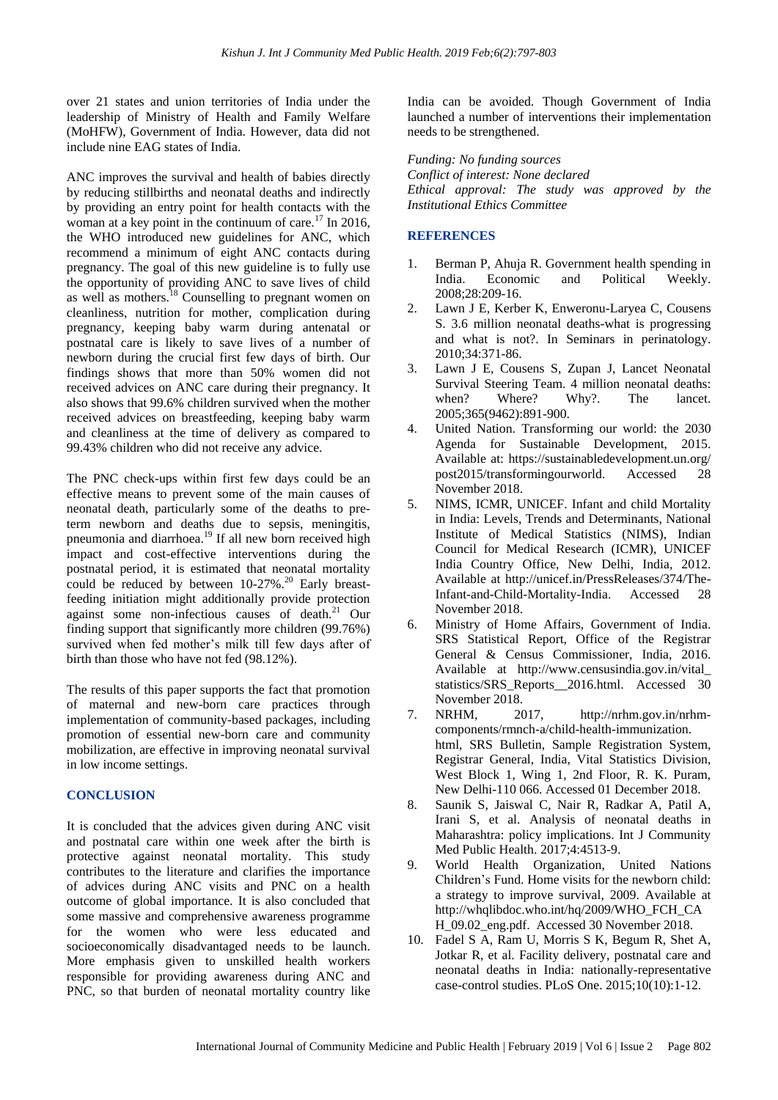over 21 states and union territories of India under the leadership of Ministry of Health and Family Welfare (MoHFW), Government of India. However, data did not include nine EAG states of India.

ANC improves the survival and health of babies directly by reducing stillbirths and neonatal deaths and indirectly by providing an entry point for health contacts with the woman at a key point in the continuum of care.<sup>17</sup> In 2016, the WHO introduced new guidelines for ANC, which recommend a minimum of eight ANC contacts during pregnancy. The goal of this new guideline is to fully use the opportunity of providing ANC to save lives of child as well as mothers. $^{18}$  Counselling to pregnant women on cleanliness, nutrition for mother, complication during pregnancy, keeping baby warm during antenatal or postnatal care is likely to save lives of a number of newborn during the crucial first few days of birth. Our findings shows that more than 50% women did not received advices on ANC care during their pregnancy. It also shows that 99.6% children survived when the mother received advices on breastfeeding, keeping baby warm and cleanliness at the time of delivery as compared to 99.43% children who did not receive any advice.

The PNC check-ups within first few days could be an effective means to prevent some of the main causes of neonatal death, particularly some of the deaths to preterm newborn and deaths due to sepsis, meningitis, pneumonia and diarrhoea.<sup>19</sup> If all new born received high impact and cost-effective interventions during the postnatal period, it is estimated that neonatal mortality could be reduced by between  $10-27\%$ .<sup>20</sup> Early breastfeeding initiation might additionally provide protection against some non-infectious causes of death.<sup>21</sup> Our finding support that significantly more children (99.76%) survived when fed mother's milk till few days after of birth than those who have not fed (98.12%).

The results of this paper supports the fact that promotion of maternal and new-born care practices through implementation of community-based packages, including promotion of essential new-born care and community mobilization, are effective in improving neonatal survival in low income settings.

## **CONCLUSION**

It is concluded that the advices given during ANC visit and postnatal care within one week after the birth is protective against neonatal mortality. This study contributes to the literature and clarifies the importance of advices during ANC visits and PNC on a health outcome of global importance. It is also concluded that some massive and comprehensive awareness programme for the women who were less educated and socioeconomically disadvantaged needs to be launch. More emphasis given to unskilled health workers responsible for providing awareness during ANC and PNC, so that burden of neonatal mortality country like India can be avoided. Though Government of India launched a number of interventions their implementation needs to be strengthened.

*Funding: No funding sources Conflict of interest: None declared Ethical approval: The study was approved by the Institutional Ethics Committee*

## **REFERENCES**

- 1. Berman P, Ahuja R. Government health spending in India. Economic and Political Weekly. 2008;28:209-16.
- 2. Lawn J E, Kerber K, Enweronu-Laryea C, Cousens S. 3.6 million neonatal deaths-what is progressing and what is not?. In Seminars in perinatology. 2010;34:371-86.
- 3. Lawn J E, Cousens S, Zupan J, Lancet Neonatal Survival Steering Team. 4 million neonatal deaths: when? Where? Why?. The lancet. 2005;365(9462):891-900.
- 4. United Nation. Transforming our world: the 2030 Agenda for Sustainable Development, 2015. Available at: https://sustainabledevelopment.un.org/ post2015/transformingourworld. Accessed 28 November 2018.
- 5. NIMS, ICMR, UNICEF. Infant and child Mortality in India: Levels, Trends and Determinants, National Institute of Medical Statistics (NIMS), Indian Council for Medical Research (ICMR), UNICEF India Country Office, New Delhi, India, 2012. Available at http://unicef.in/PressReleases/374/The-Infant-and-Child-Mortality-India. Accessed 28 November 2018.
- 6. Ministry of Home Affairs, Government of India. SRS Statistical Report, Office of the Registrar General & Census Commissioner, India, 2016. Available at http://www.censusindia.gov.in/vital\_ statistics/SRS\_Reports\_\_2016.html. Accessed 30 November 2018.
- 7. NRHM, 2017, http://nrhm.gov.in/nrhmcomponents/rmnch-a/child-health-immunization. html, SRS Bulletin, Sample Registration System, Registrar General, India, Vital Statistics Division, West Block 1, Wing 1, 2nd Floor, R. K. Puram, New Delhi-110 066. Accessed 01 December 2018.
- 8. Saunik S, Jaiswal C, Nair R, Radkar A, Patil A, Irani S, et al. Analysis of neonatal deaths in Maharashtra: policy implications. Int J Community Med Public Health. 2017;4:4513-9.
- 9. World Health Organization, United Nations Children's Fund. Home visits for the newborn child: a strategy to improve survival, 2009. Available at http://whqlibdoc.who.int/hq/2009/WHO\_FCH\_CA H 09.02 eng.pdf. Accessed 30 November 2018.
- 10. Fadel S A, Ram U, Morris S K, Begum R, Shet A, Jotkar R, et al. Facility delivery, postnatal care and neonatal deaths in India: nationally-representative case-control studies. PLoS One. 2015;10(10):1-12.